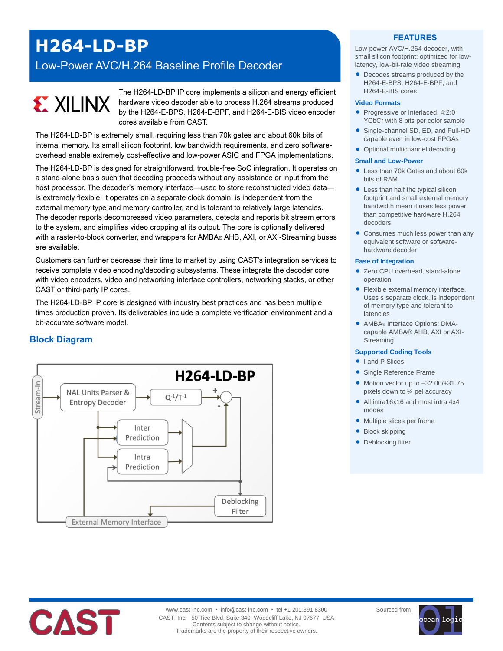# **H264-LD-BP**

Low-Power AVC/H.264 Baseline Profile Decoder

# **EXILINX**

The H264-LD-BP IP core implements a silicon and energy efficient hardware video decoder able to process H.264 streams produced by the H264-E-BPS, H264-E-BPF, and H264-E-BIS video encoder cores available from CAST.

The H264-LD-BP is extremely small, requiring less than 70k gates and about 60k bits of internal memory. Its small silicon footprint, low bandwidth requirements, and zero softwareoverhead enable extremely cost-effective and low-power ASIC and FPGA implementations.

The H264-LD-BP is designed for straightforward, trouble-free SoC integration. It operates on a stand-alone basis such that decoding proceeds without any assistance or input from the host processor. The decoder's memory interface—used to store reconstructed video data is extremely flexible: it operates on a separate clock domain, is independent from the external memory type and memory controller, and is tolerant to relatively large latencies. The decoder reports decompressed video parameters, detects and reports bit stream errors to the system, and simplifies video cropping at its output. The core is optionally delivered with a raster-to-block converter, and wrappers for AMBA® AHB, AXI, or AXI-Streaming buses are available.

Customers can further decrease their time to market by using CAST's integration services to receive complete video encoding/decoding subsystems. These integrate the decoder core with video encoders, video and networking interface controllers, networking stacks, or other CAST or third-party IP cores.

The H264-LD-BP IP core is designed with industry best practices and has been multiple times production proven. Its deliverables include a complete verification environment and a bit-accurate software model.

# **Block Diagram**



### **FEATURES**

Low-power AVC/H.264 decoder, with small silicon footprint; optimized for lowlatency, low-bit-rate video streaming

 Decodes streams produced by the H264-E-BPS, H264-E-BPF, and H264-E-BIS cores

#### **Video Formats**

- Progressive or Interlaced, 4:2:0 YCbCr with 8 bits per color sample
- Single-channel SD, ED, and Full-HD capable even in low-cost FPGAs
- Optional multichannel decoding

#### **Small and Low-Power**

- Less than 70k Gates and about 60k bits of RAM
- Less than half the typical silicon footprint and small external memory bandwidth mean it uses less power than competitive hardware H.264 decoders
- Consumes much less power than any equivalent software or softwarehardware decoder

#### **Ease of Integration**

- Zero CPU overhead, stand-alone operation
- Flexible external memory interface. Uses s separate clock, is independent of memory type and tolerant to latencies
- AMBA® Interface Options: DMAcapable AMBA® AHB, AXI or AXI-Streaming

#### **Supported Coding Tools**

- I and P Slices
- Single Reference Frame
- $\bullet$  Motion vector up to  $-32.00/+31.75$ pixels down to ¼ pel accuracy
- All intra16x16 and most intra 4x4 modes
- Multiple slices per frame
- Block skipping
- Deblocking filter